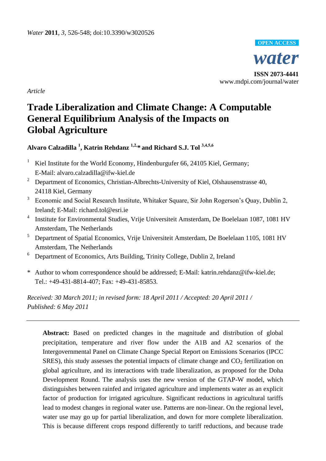

*Article*

# **Trade Liberalization and Climate Change: A Computable General Equilibrium Analysis of the Impacts on Global Agriculture**

**Alvaro Calzadilla <sup>1</sup> , Katrin Rehdanz 1,2,\* and Richard S.J. Tol 3,4,5,6**

- <sup>1</sup> Kiel Institute for the World Economy, Hindenburgufer 66, 24105 Kiel, Germany; E-Mail: alvaro.calzadilla@ifw-kiel.de
- <sup>2</sup> Department of Economics, Christian-Albrechts-University of Kiel, Olshausenstrasse 40, 24118 Kiel, Germany
- <sup>3</sup> Economic and Social Research Institute, Whitaker Square, Sir John Rogerson's Quay, Dublin 2, Ireland; E-Mail: richard.tol@esri.ie
- <sup>4</sup> Institute for Environmental Studies, Vrije Universiteit Amsterdam, De Boelelaan 1087, 1081 HV Amsterdam, The Netherlands
- <sup>5</sup> Department of Spatial Economics, Vrije Universiteit Amsterdam, De Boelelaan 1105, 1081 HV Amsterdam, The Netherlands
- <sup>6</sup> Department of Economics, Arts Building, Trinity College, Dublin 2, Ireland
- \* Author to whom correspondence should be addressed; E-Mail: katrin.rehdanz@ifw-kiel.de; Tel.: +49-431-8814-407; Fax: +49-431-85853.

*Received: 30 March 2011; in revised form: 18 April 2011 / Accepted: 20 April 2011 / Published: 6 May 2011*

**Abstract:** Based on predicted changes in the magnitude and distribution of global precipitation, temperature and river flow under the A1B and A2 scenarios of the Intergovernmental Panel on Climate Change Special Report on Emissions Scenarios (IPCC SRES), this study assesses the potential impacts of climate change and  $CO<sub>2</sub>$  fertilization on global agriculture, and its interactions with trade liberalization, as proposed for the Doha Development Round. The analysis uses the new version of the GTAP-W model, which distinguishes between rainfed and irrigated agriculture and implements water as an explicit factor of production for irrigated agriculture. Significant reductions in agricultural tariffs lead to modest changes in regional water use. Patterns are non-linear. On the regional level, water use may go up for partial liberalization, and down for more complete liberalization. This is because different crops respond differently to tariff reductions, and because trade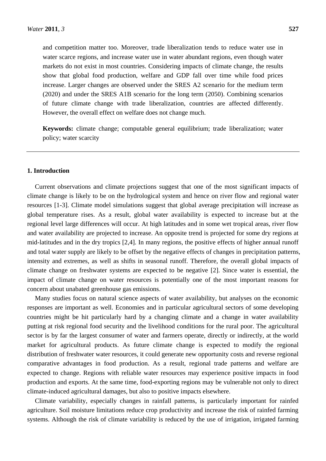and competition matter too. Moreover, trade liberalization tends to reduce water use in water scarce regions, and increase water use in water abundant regions, even though water markets do not exist in most countries. Considering impacts of climate change, the results show that global food production, welfare and GDP fall over time while food prices increase. Larger changes are observed under the SRES A2 scenario for the medium term (2020) and under the SRES A1B scenario for the long term (2050). Combining scenarios of future climate change with trade liberalization, countries are affected differently. However, the overall effect on welfare does not change much.

**Keywords:** climate change; computable general equilibrium; trade liberalization; water policy; water scarcity

# **1. Introduction**

Current observations and climate projections suggest that one of the most significant impacts of climate change is likely to be on the hydrological system and hence on river flow and regional water resources [1-3]. Climate model simulations suggest that global average precipitation will increase as global temperature rises. As a result, global water availability is expected to increase but at the regional level large differences will occur. At high latitudes and in some wet tropical areas, river flow and water availability are projected to increase. An opposite trend is projected for some dry regions at mid-latitudes and in the dry tropics [2,4]. In many regions, the positive effects of higher annual runoff and total water supply are likely to be offset by the negative effects of changes in precipitation patterns, intensity and extremes, as well as shifts in seasonal runoff. Therefore, the overall global impacts of climate change on freshwater systems are expected to be negative [2]. Since water is essential, the impact of climate change on water resources is potentially one of the most important reasons for concern about unabated greenhouse gas emissions.

Many studies focus on natural science aspects of water availability, but analyses on the economic responses are important as well. Economies and in particular agricultural sectors of some developing countries might be hit particularly hard by a changing climate and a change in water availability putting at risk regional food security and the livelihood conditions for the rural poor. The agricultural sector is by far the largest consumer of water and farmers operate, directly or indirectly, at the world market for agricultural products. As future climate change is expected to modify the regional distribution of freshwater water resources, it could generate new opportunity costs and reverse regional comparative advantages in food production. As a result, regional trade patterns and welfare are expected to change. Regions with reliable water resources may experience positive impacts in food production and exports. At the same time, food-exporting regions may be vulnerable not only to direct climate-induced agricultural damages, but also to positive impacts elsewhere.

Climate variability, especially changes in rainfall patterns, is particularly important for rainfed agriculture. Soil moisture limitations reduce crop productivity and increase the risk of rainfed farming systems. Although the risk of climate variability is reduced by the use of irrigation, irrigated farming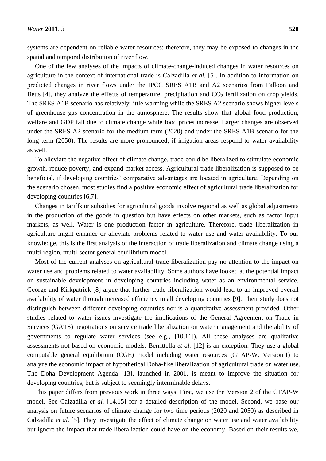One of the few analyses of the impacts of climate-change-induced changes in water resources on agriculture in the context of international trade is Calzadilla *et al.* [5]. In addition to information on predicted changes in river flows under the IPCC SRES A1B and A2 scenarios from Falloon and Betts [4], they analyze the effects of temperature, precipitation and  $CO<sub>2</sub>$  fertilization on crop yields. The SRES A1B scenario has relatively little warming while the SRES A2 scenario shows higher levels of greenhouse gas concentration in the atmosphere. The results show that global food production, welfare and GDP fall due to climate change while food prices increase. Larger changes are observed under the SRES A2 scenario for the medium term (2020) and under the SRES A1B scenario for the long term (2050). The results are more pronounced, if irrigation areas respond to water availability as well.

To alleviate the negative effect of climate change, trade could be liberalized to stimulate economic growth, reduce poverty, and expand market access. Agricultural trade liberalization is supposed to be beneficial, if developing countries' comparative advantages are located in agriculture. Depending on the scenario chosen, most studies find a positive economic effect of agricultural trade liberalization for developing countries [6,7].

Changes in tariffs or subsidies for agricultural goods involve regional as well as global adjustments in the production of the goods in question but have effects on other markets, such as factor input markets, as well. Water is one production factor in agriculture. Therefore, trade liberalization in agriculture might enhance or alleviate problems related to water use and water availability. To our knowledge, this is the first analysis of the interaction of trade liberalization and climate change using a multi-region, multi-sector general equilibrium model.

Most of the current analyses on agricultural trade liberalization pay no attention to the impact on water use and problems related to water availability. Some authors have looked at the potential impact on sustainable development in developing countries including water as an environmental service. George and Kirkpatrick [8] argue that further trade liberalization would lead to an improved overall availability of water through increased efficiency in all developing countries [9]. Their study does not distinguish between different developing countries nor is a quantitative assessment provided. Other studies related to water issues investigate the implications of the General Agreement on Trade in Services (GATS) negotiations on service trade liberalization on water management and the ability of governments to regulate water services (see e.g.,  $[10,11]$ ). All these analyses are qualitative assessments not based on economic models. Berrittella *et al.* [12] is an exception. They use a global computable general equilibrium (CGE) model including water resources (GTAP-W, Version 1) to analyze the economic impact of hypothetical Doha-like liberalization of agricultural trade on water use. The Doha Development Agenda [13], launched in 2001, is meant to improve the situation for developing countries, but is subject to seemingly interminable delays.

This paper differs from previous work in three ways. First, we use the Version 2 of the GTAP-W model. See Calzadilla *et al.* [14,15] for a detailed description of the model. Second, we base our analysis on future scenarios of climate change for two time periods (2020 and 2050) as described in Calzadilla *et al.* [5]. They investigate the effect of climate change on water use and water availability but ignore the impact that trade liberalization could have on the economy. Based on their results we,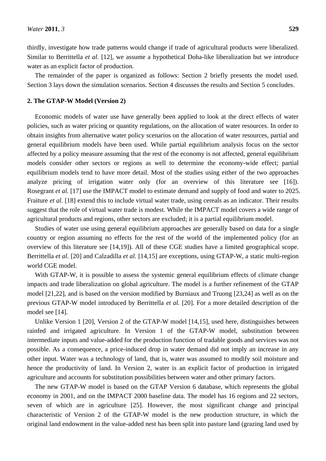thirdly, investigate how trade patterns would change if trade of agricultural products were liberalized. Similar to Berrittella *et al.* [12], we assume a hypothetical Doha-like liberalization but we introduce water as an explicit factor of production.

The remainder of the paper is organized as follows: Section 2 briefly presents the model used. Section 3 lays down the simulation scenarios. Section 4 discusses the results and Section 5 concludes.

#### **2. The GTAP-W Model (Version 2)**

Economic models of water use have generally been applied to look at the direct effects of water policies, such as water pricing or quantity regulations, on the allocation of water resources. In order to obtain insights from alternative water policy scenarios on the allocation of water resources, partial and general equilibrium models have been used. While partial equilibrium analysis focus on the sector affected by a policy measure assuming that the rest of the economy is not affected, general equilibrium models consider other sectors or regions as well to determine the economy-wide effect; partial equilibrium models tend to have more detail. Most of the studies using either of the two approaches analyze pricing of irrigation water only (for an overview of this literature see [16]). Rosegrant *et al.* [17] use the IMPACT model to estimate demand and supply of food and water to 2025. Fraiture *et al.* [18] extend this to include virtual water trade, using cereals as an indicator. Their results suggest that the role of virtual water trade is modest. While the IMPACT model covers a wide range of agricultural products and regions, other sectors are excluded; it is a partial equilibrium model.

Studies of water use using general equilibrium approaches are generally based on data for a single country or region assuming no effects for the rest of the world of the implemented policy (for an overview of this literature see [14,19]). All of these CGE studies have a limited geographical scope. Berrittella *et al.* [20] and Calzadilla *et al.* [14,15] are exceptions, using GTAP-W, a static multi-region world CGE model.

With GTAP-W, it is possible to assess the systemic general equilibrium effects of climate change impacts and trade liberalization on global agriculture. The model is a further refinement of the GTAP model [21,22], and is based on the version modified by Burniaux and Truong [23,24] as well as on the previous GTAP-W model introduced by Berrittella *et al.* [20]. For a more detailed description of the model see [14].

Unlike Version 1 [20], Version 2 of the GTAP-W model [14,15], used here, distinguishes between rainfed and irrigated agriculture. In Version 1 of the GTAP-W model, substitution between intermediate inputs and value-added for the production function of tradable goods and services was not possible. As a consequence, a price-induced drop in water demand did not imply an increase in any other input. Water was a technology of land, that is, water was assumed to modify soil moisture and hence the productivity of land. In Version 2, water is an explicit factor of production in irrigated agriculture and accounts for substitution possibilities between water and other primary factors.

The new GTAP-W model is based on the GTAP Version 6 database, which represents the global economy in 2001, and on the IMPACT 2000 baseline data. The model has 16 regions and 22 sectors, seven of which are in agriculture [25]. However, the most significant change and principal characteristic of Version 2 of the GTAP-W model is the new production structure, in which the original land endowment in the value-added nest has been split into pasture land (grazing land used by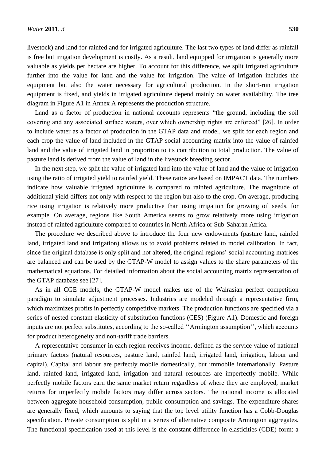livestock) and land for rainfed and for irrigated agriculture. The last two types of land differ as rainfall is free but irrigation development is costly. As a result, land equipped for irrigation is generally more valuable as yields per hectare are higher. To account for this difference, we split irrigated agriculture further into the value for land and the value for irrigation. The value of irrigation includes the equipment but also the water necessary for agricultural production. In the short-run irrigation equipment is fixed, and yields in irrigated agriculture depend mainly on water availability. The tree diagram in Figure A1 in Annex A represents the production structure.

Land as a factor of production in national accounts represents "the ground, including the soil covering and any associated surface waters, over which ownership rights are enforced" [26]. In order to include water as a factor of production in the GTAP data and model, we split for each region and each crop the value of land included in the GTAP social accounting matrix into the value of rainfed land and the value of irrigated land in proportion to its contribution to total production. The value of pasture land is derived from the value of land in the livestock breeding sector.

In the next step, we split the value of irrigated land into the value of land and the value of irrigation using the ratio of irrigated yield to rainfed yield. These ratios are based on IMPACT data. The numbers indicate how valuable irrigated agriculture is compared to rainfed agriculture. The magnitude of additional yield differs not only with respect to the region but also to the crop. On average, producing rice using irrigation is relatively more productive than using irrigation for growing oil seeds, for example. On average, regions like South America seems to grow relatively more using irrigation instead of rainfed agriculture compared to countries in North Africa or Sub-Saharan Africa.

The procedure we described above to introduce the four new endowments (pasture land, rainfed land, irrigated land and irrigation) allows us to avoid problems related to model calibration. In fact, since the original database is only split and not altered, the original regions' social accounting matrices are balanced and can be used by the GTAP-W model to assign values to the share parameters of the mathematical equations. For detailed information about the social accounting matrix representation of the GTAP database see [27].

As in all CGE models, the GTAP-W model makes use of the Walrasian perfect competition paradigm to simulate adjustment processes. Industries are modeled through a representative firm, which maximizes profits in perfectly competitive markets. The production functions are specified via a series of nested constant elasticity of substitution functions (CES) (Figure A1). Domestic and foreign inputs are not perfect substitutes, according to the so-called "Armington assumption", which accounts for product heterogeneity and non-tariff trade barriers.

A representative consumer in each region receives income, defined as the service value of national primary factors (natural resources, pasture land, rainfed land, irrigated land, irrigation, labour and capital). Capital and labour are perfectly mobile domestically, but immobile internationally. Pasture land, rainfed land, irrigated land, irrigation and natural resources are imperfectly mobile. While perfectly mobile factors earn the same market return regardless of where they are employed, market returns for imperfectly mobile factors may differ across sectors. The national income is allocated between aggregate household consumption, public consumption and savings. The expenditure shares are generally fixed, which amounts to saying that the top level utility function has a Cobb-Douglas specification. Private consumption is split in a series of alternative composite Armington aggregates. The functional specification used at this level is the constant difference in elasticities (CDE) form: a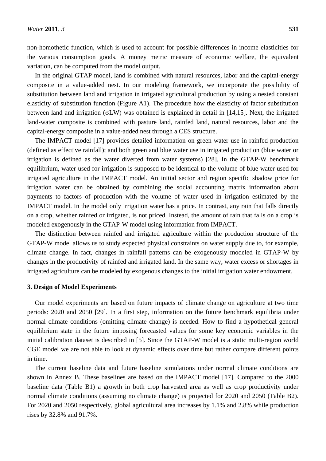non-homothetic function, which is used to account for possible differences in income elasticities for the various consumption goods. A money metric measure of economic welfare, the equivalent variation, can be computed from the model output.

In the original GTAP model, land is combined with natural resources, labor and the capital-energy composite in a value-added nest. In our modeling framework, we incorporate the possibility of substitution between land and irrigation in irrigated agricultural production by using a nested constant elasticity of substitution function (Figure A1). The procedure how the elasticity of factor substitution between land and irrigation  $(\sigma LW)$  was obtained is explained in detail in [14,15]. Next, the irrigated land-water composite is combined with pasture land, rainfed land, natural resources, labor and the capital-energy composite in a value-added nest through a CES structure.

The IMPACT model [17] provides detailed information on green water use in rainfed production (defined as effective rainfall); and both green and blue water use in irrigated production (blue water or irrigation is defined as the water diverted from water systems) [28]. In the GTAP-W benchmark equilibrium, water used for irrigation is supposed to be identical to the volume of blue water used for irrigated agriculture in the IMPACT model. An initial sector and region specific shadow price for irrigation water can be obtained by combining the social accounting matrix information about payments to factors of production with the volume of water used in irrigation estimated by the IMPACT model. In the model only irrigation water has a price. In contrast, any rain that falls directly on a crop, whether rainfed or irrigated, is not priced. Instead, the amount of rain that falls on a crop is modeled exogenously in the GTAP-W model using information from IMPACT.

The distinction between rainfed and irrigated agriculture within the production structure of the GTAP-W model allows us to study expected physical constraints on water supply due to, for example, climate change. In fact, changes in rainfall patterns can be exogenously modeled in GTAP-W by changes in the productivity of rainfed and irrigated land. In the same way, water excess or shortages in irrigated agriculture can be modeled by exogenous changes to the initial irrigation water endowment.

# **3. Design of Model Experiments**

Our model experiments are based on future impacts of climate change on agriculture at two time periods: 2020 and 2050 [29]. In a first step, information on the future benchmark equilibria under normal climate conditions (omitting climate change) is needed. How to find a hypothetical general equilibrium state in the future imposing forecasted values for some key economic variables in the initial calibration dataset is described in [5]. Since the GTAP-W model is a static multi-region world CGE model we are not able to look at dynamic effects over time but rather compare different points in time.

The current baseline data and future baseline simulations under normal climate conditions are shown in Annex B. These baselines are based on the IMPACT model [17]. Compared to the 2000 baseline data (Table B1) a growth in both crop harvested area as well as crop productivity under normal climate conditions (assuming no climate change) is projected for 2020 and 2050 (Table B2). For 2020 and 2050 respectively, global agricultural area increases by 1.1% and 2.8% while production rises by 32.8% and 91.7%.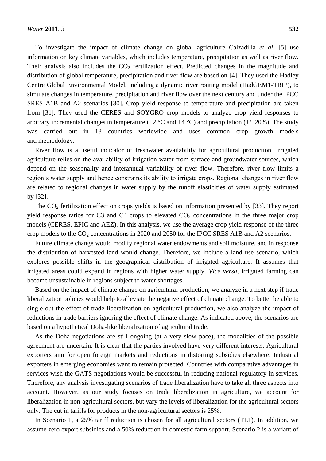To investigate the impact of climate change on global agriculture Calzadilla *et al.* [5] use information on key climate variables, which includes temperature, precipitation as well as river flow. Their analysis also includes the  $CO<sub>2</sub>$  fertilization effect. Predicted changes in the magnitude and distribution of global temperature, precipitation and river flow are based on [4]. They used the Hadley Centre Global Environmental Model, including a dynamic river routing model (HadGEM1-TRIP), to simulate changes in temperature, precipitation and river flow over the next century and under the IPCC SRES A1B and A2 scenarios [30]. Crop yield response to temperature and precipitation are taken from [31]. They used the CERES and SOYGRO crop models to analyze crop yield responses to arbitrary incremental changes in temperature (+2 °C and +4 °C) and precipitation (+/−20%). The study was carried out in 18 countries worldwide and uses common crop growth models and methodology.

River flow is a useful indicator of freshwater availability for agricultural production. Irrigated agriculture relies on the availability of irrigation water from surface and groundwater sources, which depend on the seasonality and interannual variability of river flow. Therefore, river flow limits a region's water supply and hence constrains its ability to irrigate crops. Regional changes in river flow are related to regional changes in water supply by the runoff elasticities of water supply estimated by [32].

The  $CO<sub>2</sub>$  fertilization effect on crops yields is based on information presented by [33]. They report yield response ratios for C3 and C4 crops to elevated  $CO<sub>2</sub>$  concentrations in the three major crop models (CERES, EPIC and AEZ). In this analysis, we use the average crop yield response of the three crop models to the  $CO_2$  concentrations in 2020 and 2050 for the IPCC SRES A1B and A2 scenarios.

Future climate change would modify regional water endowments and soil moisture, and in response the distribution of harvested land would change. Therefore, we include a land use scenario, which explores possible shifts in the geographical distribution of irrigated agriculture. It assumes that irrigated areas could expand in regions with higher water supply. *Vice versa*, irrigated farming can become unsustainable in regions subject to water shortages.

Based on the impact of climate change on agricultural production, we analyze in a next step if trade liberalization policies would help to alleviate the negative effect of climate change. To better be able to single out the effect of trade liberalization on agricultural production, we also analyze the impact of reductions in trade barriers ignoring the effect of climate change. As indicated above, the scenarios are based on a hypothetical Doha-like liberalization of agricultural trade.

As the Doha negotiations are still ongoing (at a very slow pace), the modalities of the possible agreement are uncertain. It is clear that the parties involved have very different interests. Agricultural exporters aim for open foreign markets and reductions in distorting subsidies elsewhere. Industrial exporters in emerging economies want to remain protected. Countries with comparative advantages in services wish the GATS negotiations would be successful in reducing national regulatory in services. Therefore, any analysis investigating scenarios of trade liberalization have to take all three aspects into account. However, as our study focuses on trade liberalization in agriculture, we account for liberalization in non-agricultural sectors, but vary the levels of liberalization for the agricultural sectors only. The cut in tariffs for products in the non-agricultural sectors is 25%.

In Scenario 1, a 25% tariff reduction is chosen for all agricultural sectors (TL1). In addition, we assume zero export subsidies and a 50% reduction in domestic farm support. Scenario 2 is a variant of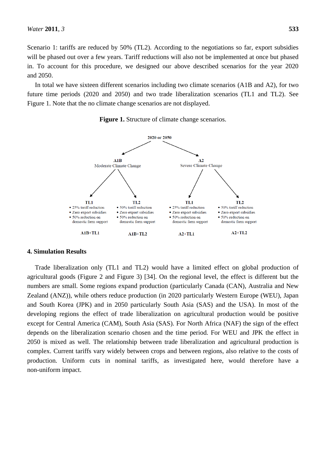Scenario 1: tariffs are reduced by 50% (TL2). According to the negotiations so far, export subsidies will be phased out over a few years. Tariff reductions will also not be implemented at once but phased in. To account for this procedure, we designed our above described scenarios for the year 2020 and 2050.

In total we have sixteen different scenarios including two climate scenarios (A1B and A2), for two future time periods (2020 and 2050) and two trade liberalization scenarios (TL1 and TL2). See Figure 1. Note that the no climate change scenarios are not displayed.





# **4. Simulation Results**

Trade liberalization only (TL1 and TL2) would have a limited effect on global production of agricultural goods (Figure 2 and Figure 3) [34]. On the regional level, the effect is different but the numbers are small. Some regions expand production (particularly Canada (CAN), Australia and New Zealand (ANZ)), while others reduce production (in 2020 particularly Western Europe (WEU), Japan and South Korea (JPK) and in 2050 particularly South Asia (SAS) and the USA). In most of the developing regions the effect of trade liberalization on agricultural production would be positive except for Central America (CAM), South Asia (SAS). For North Africa (NAF) the sign of the effect depends on the liberalization scenario chosen and the time period. For WEU and JPK the effect in 2050 is mixed as well. The relationship between trade liberalization and agricultural production is complex. Current tariffs vary widely between crops and between regions, also relative to the costs of production. Uniform cuts in nominal tariffs, as investigated here, would therefore have a non-uniform impact.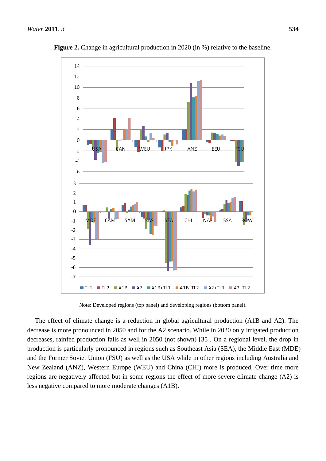

**Figure 2.** Change in agricultural production in 2020 (in %) relative to the baseline.

Note: Developed regions (top panel) and developing regions (bottom panel).

The effect of climate change is a reduction in global agricultural production (A1B and A2). The decrease is more pronounced in 2050 and for the A2 scenario. While in 2020 only irrigated production decreases, rainfed production falls as well in 2050 (not shown) [35]. On a regional level, the drop in production is particularly pronounced in regions such as Southeast Asia (SEA), the Middle East (MDE) and the Former Soviet Union (FSU) as well as the USA while in other regions including Australia and New Zealand (ANZ), Western Europe (WEU) and China (CHI) more is produced. Over time more regions are negatively affected but in some regions the effect of more severe climate change (A2) is less negative compared to more moderate changes (A1B).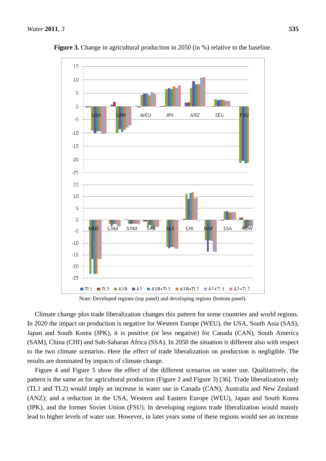

**Figure 3.** Change in agricultural production in 2050 (in %) relative to the baseline.

Note: Developed regions (top panel) and developing regions (bottom panel).

Climate change plus trade liberalization changes this pattern for some countries and world regions. In 2020 the impact on production is negative for Western Europe (WEU), the USA, South Asia (SAS), Japan and South Korea (JPK), it is positive (or less negative) for Canada (CAN), South America (SAM), China (CHI) and Sub-Saharan Africa (SSA). In 2050 the situation is different also with respect to the two climate scenarios. Here the effect of trade liberalization on production is negligible. The results are dominated by impacts of climate change.

Figure 4 and Figure 5 show the effect of the different scenarios on water use. Qualitatively, the pattern is the same as for agricultural production (Figure 2 and Figure 3) [36]. Trade liberalization only (TL1 and TL2) would imply an increase in water use in Canada (CAN), Australia and New Zealand (ANZ); and a reduction in the USA, Western and Eastern Europe (WEU), Japan and South Korea (JPK), and the former Soviet Union (FSU). In developing regions trade liberalization would mainly lead to higher levels of water use. However, in later years some of these regions would see an increase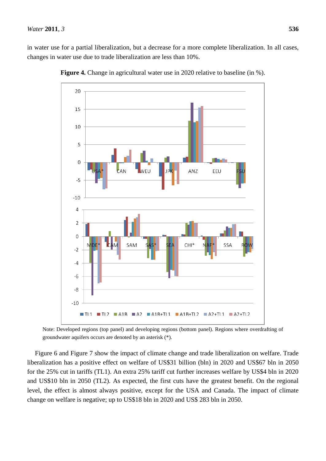in water use for a partial liberalization, but a decrease for a more complete liberalization. In all cases, changes in water use due to trade liberalization are less than 10%.



**Figure 4.** Change in agricultural water use in 2020 relative to baseline (in %).

Note: Developed regions (top panel) and developing regions (bottom panel). Regions where overdrafting of groundwater aquifers occurs are denoted by an asterisk (\*).

Figure 6 and Figure 7 show the impact of climate change and trade liberalization on welfare. Trade liberalization has a positive effect on welfare of US\$31 billion (bln) in 2020 and US\$67 bln in 2050 for the 25% cut in tariffs (TL1). An extra 25% tariff cut further increases welfare by US\$4 bln in 2020 and US\$10 bln in 2050 (TL2). As expected, the first cuts have the greatest benefit. On the regional level, the effect is almost always positive, except for the USA and Canada. The impact of climate change on welfare is negative; up to US\$18 bln in 2020 and US\$ 283 bln in 2050.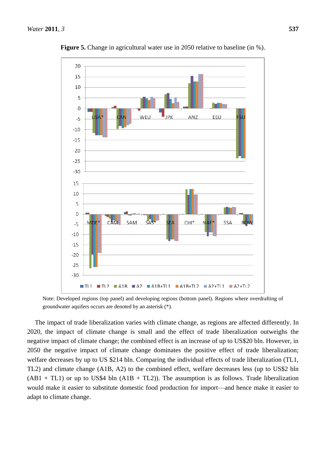

**Figure 5.** Change in agricultural water use in 2050 relative to baseline (in %).

Note: Developed regions (top panel) and developing regions (bottom panel). Regions where overdrafting of groundwater aquifers occurs are denoted by an asterisk (\*).

The impact of trade liberalization varies with climate change, as regions are affected differently. In 2020, the impact of climate change is small and the effect of trade liberalization outweighs the negative impact of climate change; the combined effect is an increase of up to US\$20 bln. However, in 2050 the negative impact of climate change dominates the positive effect of trade liberalization; welfare decreases by up to US \$214 bln. Comparing the individual effects of trade liberalization (TL1, TL2) and climate change (A1B, A2) to the combined effect, welfare decreases less (up to US\$2 bln  $(AB1 + TL1)$  or up to US\$4 bln  $(A1B + TL2)$ ). The assumption is as follows. Trade liberalization would make it easier to substitute domestic food production for import—and hence make it easier to adapt to climate change.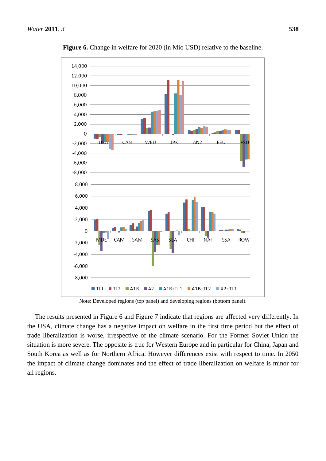

**Figure 6.** Change in welfare for 2020 (in Mio USD) relative to the baseline.

Note: Developed regions (top panel) and developing regions (bottom panel).

The results presented in Figure 6 and Figure 7 indicate that regions are affected very differently. In the USA, climate change has a negative impact on welfare in the first time period but the effect of trade liberalization is worse, irrespective of the climate scenario. For the Former Soviet Union the situation is more severe. The opposite is true for Western Europe and in particular for China, Japan and South Korea as well as for Northern Africa. However differences exist with respect to time. In 2050 the impact of climate change dominates and the effect of trade liberalization on welfare is minor for all regions.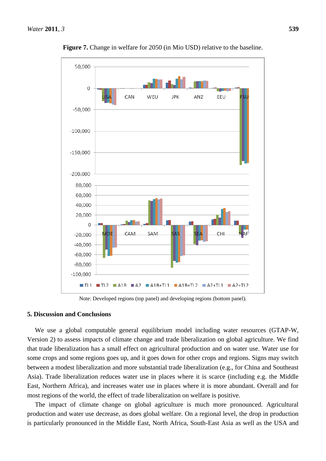

**Figure 7.** Change in welfare for 2050 (in Mio USD) relative to the baseline.

Note: Developed regions (top panel) and developing regions (bottom panel).

# **5. Discussion and Conclusions**

We use a global computable general equilibrium model including water resources (GTAP-W, Version 2) to assess impacts of climate change and trade liberalization on global agriculture. We find that trade liberalization has a small effect on agricultural production and on water use. Water use for some crops and some regions goes up, and it goes down for other crops and regions. Signs may switch between a modest liberalization and more substantial trade liberalization (e.g., for China and Southeast Asia). Trade liberalization reduces water use in places where it is scarce (including e.g. the Middle East, Northern Africa), and increases water use in places where it is more abundant. Overall and for most regions of the world, the effect of trade liberalization on welfare is positive.

The impact of climate change on global agriculture is much more pronounced. Agricultural production and water use decrease, as does global welfare. On a regional level, the drop in production is particularly pronounced in the Middle East, North Africa, South-East Asia as well as the USA and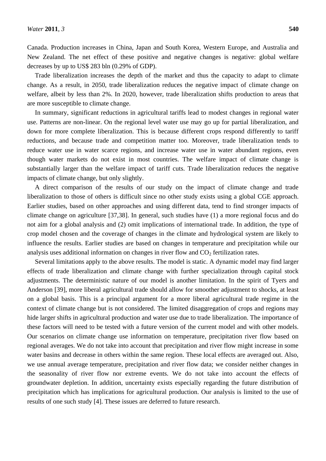Canada. Production increases in China, Japan and South Korea, Western Europe, and Australia and New Zealand. The net effect of these positive and negative changes is negative: global welfare decreases by up to US\$ 283 bln (0.29% of GDP).

Trade liberalization increases the depth of the market and thus the capacity to adapt to climate change. As a result, in 2050, trade liberalization reduces the negative impact of climate change on welfare, albeit by less than 2%. In 2020, however, trade liberalization shifts production to areas that are more susceptible to climate change.

In summary, significant reductions in agricultural tariffs lead to modest changes in regional water use. Patterns are non-linear. On the regional level water use may go up for partial liberalization, and down for more complete liberalization. This is because different crops respond differently to tariff reductions, and because trade and competition matter too. Moreover, trade liberalization tends to reduce water use in water scarce regions, and increase water use in water abundant regions, even though water markets do not exist in most countries. The welfare impact of climate change is substantially larger than the welfare impact of tariff cuts. Trade liberalization reduces the negative impacts of climate change, but only slightly.

A direct comparison of the results of our study on the impact of climate change and trade liberalization to those of others is difficult since no other study exists using a global CGE approach. Earlier studies, based on other approaches and using different data, tend to find stronger impacts of climate change on agriculture [37,38]. In general, such studies have (1) a more regional focus and do not aim for a global analysis and (2) omit implications of international trade. In addition, the type of crop model chosen and the coverage of changes in the climate and hydrological system are likely to influence the results. Earlier studies are based on changes in temperature and precipitation while our analysis uses additional information on changes in river flow and  $CO<sub>2</sub>$  fertilization rates.

Several limitations apply to the above results. The model is static. A dynamic model may find larger effects of trade liberalization and climate change with further specialization through capital stock adjustments. The deterministic nature of our model is another limitation. In the spirit of Tyers and Anderson [39], more liberal agricultural trade should allow for smoother adjustment to shocks, at least on a global basis. This is a principal argument for a more liberal agricultural trade regime in the context of climate change but is not considered. The limited disaggregation of crops and regions may hide larger shifts in agricultural production and water use due to trade liberalization. The importance of these factors will need to be tested with a future version of the current model and with other models. Our scenarios on climate change use information on temperature, precipitation river flow based on regional averages. We do not take into account that precipitation and river flow might increase in some water basins and decrease in others within the same region. These local effects are averaged out. Also, we use annual average temperature, precipitation and river flow data; we consider neither changes in the seasonality of river flow nor extreme events. We do not take into account the effects of groundwater depletion. In addition, uncertainty exists especially regarding the future distribution of precipitation which has implications for agricultural production. Our analysis is limited to the use of results of one such study [4]. These issues are deferred to future research.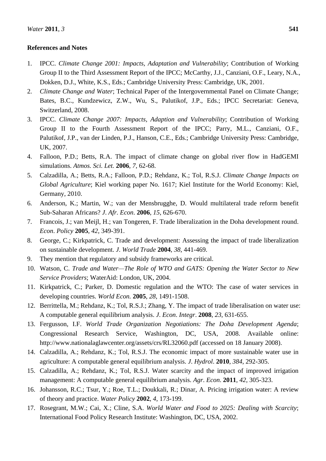# **References and Notes**

- 1. IPCC. *Climate Change 2001: Impacts, Adaptation and Vulnerability*; Contribution of Working Group II to the Third Assessment Report of the IPCC; McCarthy, J.J., Canziani, O.F., Leary, N.A., Dokken, D.J., White, K.S., Eds.; Cambridge University Press: Cambridge, UK, 2001.
- 2. *Climate Change and Water*; Technical Paper of the Intergovernmental Panel on Climate Change; Bates, B.C., Kundzewicz, Z.W., Wu, S., Palutikof, J.P., Eds.; IPCC Secretariat: Geneva, Switzerland, 2008.
- 3. IPCC. *Climate Change 2007: Impacts, Adaption and Vulnerability*; Contribution of Working Group II to the Fourth Assessment Report of the IPCC; Parry, M.L., Canziani, O.F., Palutikof, J.P., van der Linden, P.J., Hanson, C.E., Eds.; Cambridge University Press: Cambridge, UK, 2007.
- 4. Falloon, P.D.; Betts, R.A. The impact of climate change on global river flow in HadGEMI simulations. *Atmos. Sci. Let.* **2006**, *7*, 62-68.
- 5. Calzadilla, A.; Betts, R.A.; Falloon, P.D.; Rehdanz, K.; Tol, R.S.J. *Climate Change Impacts on Global Agriculture*; Kiel working paper No. 1617; Kiel Institute for the World Economy: Kiel, Germany, 2010.
- 6. Anderson, K.; Martin, W.; van der Mensbrugghe, D. Would multilateral trade reform benefit Sub-Saharan Africans? *J*. *Afr. Econ*. **2006**, *15*, 626-670.
- 7. Francois, J.; van Meijl, H.; van Tongeren, F. Trade liberalization in the Doha development round. *Econ*. *Policy* **2005**, *42*, 349-391.
- 8. George, C.; Kirkpatrick, C. Trade and development: Assessing the impact of trade liberalization on sustainable development. *J*. *World Trade* **2004**, *38*, 441-469.
- 9. They mention that regulatory and subsidy frameworks are critical.
- 10. Watson, C. *Trade and Water—The Role of WTO and GATS: Opening the Water Sector to New Service Providers*; WaterAid: London, UK, 2004.
- 11. Kirkpatrick, C.; Parker, D. Domestic regulation and the WTO: The case of water services in developing countries. *World Econ.* **2005**, *28*, 1491-1508.
- 12. Berrittella, M.; Rehdanz, K.; Tol, R.S.J.; Zhang, Y. The impact of trade liberalisation on water use: A computable general equilibrium analysis. *J*. *Econ*. *Integr*. **2008**, *23*, 631-655.
- 13. Fergusson, I.F. *World Trade Organization Negotiations: The Doha Development Agenda*; Congressional Research Service, Washington, DC, USA, 2008. Available online: http://www.nationalaglawcenter.org/assets/crs/RL32060.pdf (accessed on 18 January 2008).
- 14. Calzadilla, A.; Rehdanz, K.; Tol, R.S.J. The economic impact of more sustainable water use in agriculture: A computable general equilibrium analysis. *J*. *Hydrol*. **2010**, *384*, 292-305.
- 15. Calzadilla, A.; Rehdanz, K.; Tol, R.S.J. Water scarcity and the impact of improved irrigation management: A computable general equilibrium analysis. *Agr*. *Econ*. **2011**, *42*, 305-323.
- 16. Johansson, R.C.; Tsur, Y.; Roe, T.L.; Doukkali, R.; Dinar, A. Pricing irrigation water: A review of theory and practice. *Water Policy* **2002**, *4*, 173-199.
- 17. Rosegrant, M.W.; Cai, X.; Cline, S.A. *World Water and Food to 2025: Dealing with Scarcity*; International Food Policy Research Institute: Washington, DC, USA, 2002.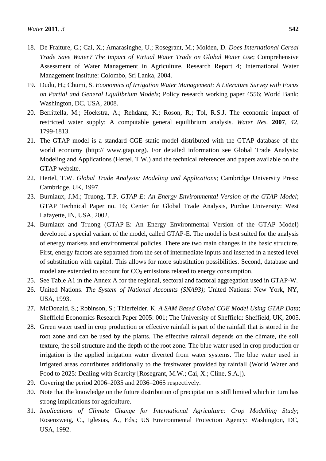- 18. De Fraiture, C.; Cai, X.; Amarasinghe, U.; Rosegrant, M.; Molden, D. *Does International Cereal Trade Save Water? The Impact of Virtual Water Trade on Global Water Use*; Comprehensive Assessment of Water Management in Agriculture, Research Report 4; International Water Management Institute: Colombo, Sri Lanka, 2004.
- 19. Dudu, H.; Chumi, S. *Economics of Irrigation Water Management: A Literature Survey with Focus on Partial and General Equilibrium Models*; Policy research working paper 4556; World Bank: Washington, DC, USA, 2008.
- 20. Berrittella, M.; Hoekstra, A.; Rehdanz, K.; Roson, R.; Tol, R.S.J. The economic impact of restricted water supply: A computable general equilibrium analysis. *Water Res.* **2007**, *42*, 1799-1813.
- 21. The GTAP model is a standard CGE static model distributed with the GTAP database of the world economy (http:// www.gtap.org). For detailed information see Global Trade Analysis: Modeling and Applications (Hertel, T.W.) and the technical references and papers available on the GTAP website.
- 22. Hertel, T.W. *Global Trade Analysis: Modeling and Applications*; Cambridge University Press: Cambridge, UK, 1997.
- 23. Burniaux, J.M.; Truong, T.P. *GTAP-E: An Energy Environmental Version of the GTAP Model*; GTAP Technical Paper no. 16; Center for Global Trade Analysis, Purdue University: West Lafayette, IN, USA, 2002.
- 24. Burniaux and Truong (GTAP-E: An Energy Environmental Version of the GTAP Model) developed a special variant of the model, called GTAP-E. The model is best suited for the analysis of energy markets and environmental policies. There are two main changes in the basic structure. First, energy factors are separated from the set of intermediate inputs and inserted in a nested level of substitution with capital. This allows for more substitution possibilities. Second, database and model are extended to account for  $CO<sub>2</sub>$  emissions related to energy consumption.
- 25. See Table A1 in the Annex A for the regional, sectoral and factoral aggregation used in GTAP-W.
- 26. United Nations. *The System of National Accounts (SNA93)*; United Nations: New York, NY, USA, 1993.
- 27. McDonald, S.; Robinson, S.; Thierfelder, K. *A SAM Based Global CGE Model Using GTAP Data*; Sheffield Economics Research Paper 2005: 001; The University of Sheffield: Sheffield, UK, 2005.
- 28. Green water used in crop production or effective rainfall is part of the rainfall that is stored in the root zone and can be used by the plants. The effective rainfall depends on the climate, the soil texture, the soil structure and the depth of the root zone. The blue water used in crop production or irrigation is the applied irrigation water diverted from water systems. The blue water used in irrigated areas contributes additionally to the freshwater provided by rainfall (World Water and Food to 2025: Dealing with Scarcity [Rosegrant, M.W.; Cai, X.; Cline, S.A.]).
- 29. Covering the period 2006–2035 and 2036–2065 respectively.
- 30. Note that the knowledge on the future distribution of precipitation is still limited which in turn has strong implications for agriculture.
- 31. *Implications of Climate Change for International Agriculture: Crop Modelling Study*; Rosenzweig, C., Iglesias, A., Eds.; US Environmental Protection Agency: Washington, DC, USA, 1992.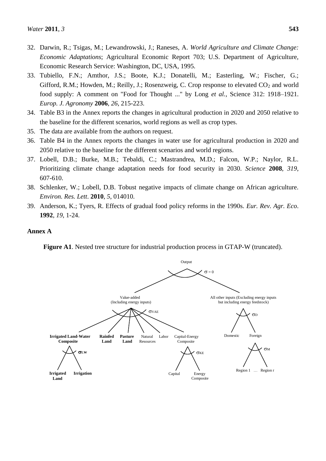- 32. Darwin, R.; Tsigas, M.; Lewandrowski, J.; Raneses, A. *World Agriculture and Climate Change: Economic Adaptations*; Agricultural Economic Report 703; U.S. Department of Agriculture, Economic Research Service: Washington, DC, USA, 1995.
- 33. Tubiello, F.N.; Amthor, J.S.; Boote, K.J.; Donatelli, M.; Easterling, W.; Fischer, G.; Gifford, R.M.; Howden, M.; Reilly, J.; Rosenzweig, C. Crop response to elevated  $CO<sub>2</sub>$  and world food supply: A comment on "Food for Thought ..." by Long *et al.*, Science 312: 1918–1921. *Europ. J. Agronomy* **2006**, *26*, 215-223.
- 34. Table B3 in the Annex reports the changes in agricultural production in 2020 and 2050 relative to the baseline for the different scenarios, world regions as well as crop types.
- 35. The data are available from the authors on request.
- 36. Table B4 in the Annex reports the changes in water use for agricultural production in 2020 and 2050 relative to the baseline for the different scenarios and world regions.
- 37. Lobell, D.B.; Burke, M.B.; Tebaldi, C.; Mastrandrea, M.D.; Falcon, W.P.; Naylor, R.L. Prioritizing climate change adaptation needs for food security in 2030. *Science* **2008**, *319*, 607-610.
- 38. Schlenker, W.; Lobell, D.B. Tobust negative impacts of climate change on African agriculture. *Environ. Res. Lett*. **2010**, *5*, 014010.
- 39. Anderson, K.; Tyers, R. Effects of gradual food policy reforms in the 1990s. *Eur. Rev. Agr. Eco*. **1992**, *19*, 1-24.

# **Annex A**

**Figure A1**. Nested tree structure for industrial production process in GTAP-W (truncated).

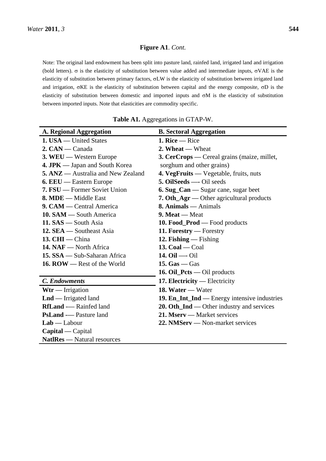# **Figure A1**. *Cont.*

Note: The original land endowment has been split into pasture land, rainfed land, irrigated land and irrigation (bold letters).  $\sigma$  is the elasticity of substitution between value added and intermediate inputs,  $\sigma$ VAE is the elasticity of substitution between primary factors,  $\sigma LW$  is the elasticity of substitution between irrigated land and irrigation,  $\sigma KE$  is the elasticity of substitution between capital and the energy composite,  $\sigma D$  is the elasticity of substitution between domestic and imported inputs and  $\sigma M$  is the elasticity of substitution between imported inputs. Note that elasticities are commodity specific.

| <b>A. Regional Aggregation</b>      | <b>B.</b> Sectoral Aggregation                      |
|-------------------------------------|-----------------------------------------------------|
| 1. USA — United States              | 1. Rice $-$ Rice                                    |
| 2. CAN — Canada                     | 2. Wheat — Wheat                                    |
| 3. WEU — Western Europe             | <b>3. CerCrops</b> — Cereal grains (maize, millet,  |
| 4. JPK — Japan and South Korea      | sorghum and other grains)                           |
| 5. ANZ — Australia and New Zealand  | 4. VegFruits — Vegetable, fruits, nuts              |
| <b>6. EEU</b> — Eastern Europe      | <b>5. OilSeeds</b> — Oil seeds                      |
| <b>7. FSU</b> — Former Soviet Union | 6. Sug_Can — Sugar cane, sugar beet                 |
| 8. MDE — Middle East                | <b>7. Oth_Agr</b> — Other agricultural products     |
| 9. CAM — Central America            | $8.$ Animals — Animals                              |
| 10. SAM — South America             | 9. Meat — Meat                                      |
| 11. SAS — South Asia                | 10. Food_Prod — Food products                       |
| 12. SEA — Southeast Asia            | 11. Forestry — Forestry                             |
| 13. $CHI$ - China                   | 12. Fishing — Fishing                               |
| 14. NAF — North Africa              | 13. $Coal - Coal$                                   |
| 15. SSA — Sub-Saharan Africa        | 14. $Oil$ — $Oil$                                   |
| 16. ROW — Rest of the World         | 15. $Gas - Gas$                                     |
|                                     | 16. Oil_Pcts — Oil products                         |
| <b>C.</b> Endowments                | 17. Electricity — Electricity                       |
| $Wtr$ — Irrigation                  | 18. Water - Water                                   |
| $\text{Lnd}$ — Irrigated land       | <b>19. En_Int_Ind —</b> Energy intensive industries |
| <b>RfLand</b> -- Rainfed land       | 20. Oth_Ind — Other industry and services           |
| <b>PsLand</b> -- Pasture land       | 21. Mserv — Market services                         |
| $Lab - Labour$                      | 22. NMServ — Non-market services                    |
| $Capital - Capital$                 |                                                     |
| NatlRes — Natural resources         |                                                     |

**Table A1.** Aggregations in GTAP-W.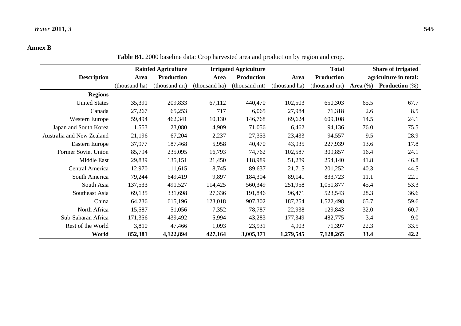# **Annex B**

**Table B1.** 2000 baseline data: Crop harvested area and production by region and crop.

|                           |               | <b>Rainfed Agriculture</b> |               | <b>Irrigated Agriculture</b> |               | <b>Total</b>      | Share of irrigated |                          |  |  |
|---------------------------|---------------|----------------------------|---------------|------------------------------|---------------|-------------------|--------------------|--------------------------|--|--|
| <b>Description</b>        | Area          | <b>Production</b>          | Area          | <b>Production</b>            | Area          | <b>Production</b> |                    | agriculture in total:    |  |  |
|                           | (thousand ha) | (thousand mt)              | (thousand ha) | (thousand mt)                | (thousand ha) | (thousand mt)     | Area $(\%)$        | <b>Production</b> $(\%)$ |  |  |
| <b>Regions</b>            |               |                            |               |                              |               |                   |                    |                          |  |  |
| <b>United States</b>      | 35,391        | 209,833                    | 67,112        | 440,470                      | 102,503       | 650,303           | 65.5               | 67.7                     |  |  |
| Canada                    | 27,267        | 65,253                     | 717           | 6,065                        | 27,984        | 71,318            | 2.6                | 8.5                      |  |  |
| Western Europe            | 59,494        | 462,341                    | 10,130        | 146,768                      | 69,624        | 609,108           | 14.5               | 24.1                     |  |  |
| Japan and South Korea     | 1,553         | 23,080                     | 4,909         | 71,056                       | 6,462         | 94,136            | 76.0               | 75.5                     |  |  |
| Australia and New Zealand | 21,196        | 67,204                     | 2,237         | 27,353                       | 23,433        | 94,557            | 9.5                | 28.9                     |  |  |
| Eastern Europe            | 37,977        | 187,468                    | 5,958         | 40,470                       | 43,935        | 227,939           | 13.6               | 17.8                     |  |  |
| Former Soviet Union       | 85,794        | 235,095                    | 16,793        | 74,762                       | 102,587       | 309,857           | 16.4               | 24.1                     |  |  |
| Middle East               | 29,839        | 135,151                    | 21,450        | 118,989                      | 51,289        | 254,140           | 41.8               | 46.8                     |  |  |
| Central America           | 12,970        | 111,615                    | 8,745         | 89,637                       | 21,715        | 201,252           | 40.3               | 44.5                     |  |  |
| South America             | 79,244        | 649,419                    | 9,897         | 184,304                      | 89,141        | 833,723           | 11.1               | 22.1                     |  |  |
| South Asia                | 137,533       | 491,527                    | 114,425       | 560,349                      | 251,958       | 1,051,877         | 45.4               | 53.3                     |  |  |
| Southeast Asia            | 69,135        | 331,698                    | 27,336        | 191,846                      | 96,471        | 523,543           | 28.3               | 36.6                     |  |  |
| China                     | 64,236        | 615,196                    | 123,018       | 907,302                      | 187,254       | 1,522,498         | 65.7               | 59.6                     |  |  |
| North Africa              | 15,587        | 51,056                     | 7,352         | 78,787                       | 22,938        | 129,843           | 32.0               | 60.7                     |  |  |
| Sub-Saharan Africa        | 171,356       | 439,492                    | 5,994         | 43,283                       | 177,349       | 482,775           | 3.4                | 9.0                      |  |  |
| Rest of the World         | 3,810         | 47,466                     | 1,093         | 23,931                       | 4,903         | 71,397            | 22.3               | 33.5                     |  |  |
| World                     | 852,381       | 4,122,894                  | 427,164       | 3,005,371                    | 1,279,545     | 7,128,265         | 33.4               | 42.2                     |  |  |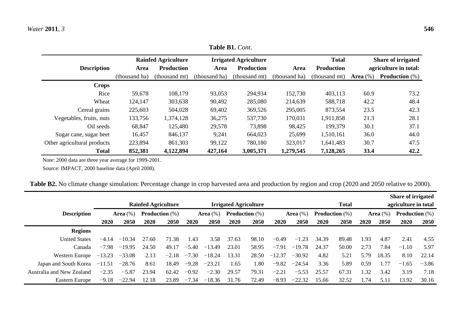|                             |               | <b>Rainfed Agriculture</b> |               | <b>Irrigated Agriculture</b> |               | <b>Total</b>      | Share of irrigated    |                          |  |  |  |
|-----------------------------|---------------|----------------------------|---------------|------------------------------|---------------|-------------------|-----------------------|--------------------------|--|--|--|
| <b>Description</b>          | Area          | <b>Production</b>          | Area          | <b>Production</b>            | Area          | <b>Production</b> | agriculture in total: |                          |  |  |  |
|                             | (thousand ha) | (thousand mt)              | (thousand ha) | (thousand mt)                | (thousand ha) | (thousand mt)     | Area $(\%)$           | <b>Production</b> $(\%)$ |  |  |  |
| <b>Crops</b>                |               |                            |               |                              |               |                   |                       |                          |  |  |  |
| Rice                        | 59,678        | 108,179                    | 93,053        | 294,934                      | 152,730       | 403,113           | 60.9                  | 73.2                     |  |  |  |
| Wheat                       | 124,147       | 303,638                    | 90,492        | 285,080                      | 214,639       | 588,718           | 42.2                  | 48.4                     |  |  |  |
| Cereal grains               | 225,603       | 504,028                    | 69,402        | 369,526                      | 295,005       | 873,554           | 23.5                  | 42.3                     |  |  |  |
| Vegetables, fruits, nuts    | 133,756       | 1,374,128                  | 36,275        | 537,730                      | 170,031       | 1,911,858         | 21.3                  | 28.1                     |  |  |  |
| Oil seeds                   | 68,847        | 125,480                    | 29,578        | 73,898                       | 98,425        | 199,379           | 30.1                  | 37.1                     |  |  |  |
| Sugar cane, sugar beet      | 16,457        | 846,137                    | 9,241         | 664,023                      | 25,699        | 1,510,161         | 36.0                  | 44.0                     |  |  |  |
| Other agricultural products | 223,894       | 861,303                    | 99,122        | 780,180                      | 323,017       | 1,641,483         | 30.7                  | 47.5                     |  |  |  |
| <b>Total</b>                | 852,381       | 4,122,894                  | 427,164       | 3,005,371                    | 1,279,545     | 7,128,265         | 33.4                  | 42.2                     |  |  |  |

**Table B1.** *Cont*.

Note: 2000 data are three year average for 1999-2001.

Source: IMPACT, 2000 baseline data (April 2008).

|  | Table B2. No climate change simulation: Percentage change in crop harvested area and production by region and crop (2020 and 2050 relative to 2000). |
|--|------------------------------------------------------------------------------------------------------------------------------------------------------|
|  |                                                                                                                                                      |

|                           |                                         |          |                            |         |              |                          |                              |       |                                      |          |                          |             |                |                          | Share of irrigated |             |  |
|---------------------------|-----------------------------------------|----------|----------------------------|---------|--------------|--------------------------|------------------------------|-------|--------------------------------------|----------|--------------------------|-------------|----------------|--------------------------|--------------------|-------------|--|
|                           |                                         |          | <b>Rainfed Agriculture</b> |         |              |                          | <b>Irrigated Agriculture</b> |       | <b>Total</b><br>agriculture in total |          |                          |             |                |                          |                    |             |  |
| <b>Description</b>        | Area $(\%)$<br><b>Production</b> $(\%)$ |          |                            |         | Area $(\% )$ | <b>Production</b> $(\%)$ |                              |       | Area $(\%)$                          |          | <b>Production</b> $(\%)$ | Area $(\%)$ |                | <b>Production</b> $(\%)$ |                    |             |  |
|                           | <b>2020</b>                             | 2050     | 2020                       | 2050    | 2020         | 2050                     | 2020                         | 2050  | 2020                                 | 2050     | 2020                     | 2050        | 2020           | 2050                     | 2020               | <b>2050</b> |  |
| <b>Regions</b>            |                                         |          |                            |         |              |                          |                              |       |                                      |          |                          |             |                |                          |                    |             |  |
| <b>United States</b>      | $-4.14$                                 | $-10.34$ | 27.60                      | 71.38   | 1.43         | 3.58                     | 37.63                        | 98.10 | $-0.49$                              | $-1.23$  | 34.39                    | 89.48       | 1.93           | 4.87                     | 2.41               | 4.55        |  |
| Canada                    | $-7.98$                                 | $-19.95$ | 24.50                      | 49.17   | $-5.40$      | $-13.49$                 | 23.01                        | 58.95 | $-7.91$                              | $-19.78$ | 24.37                    | 50.00       | 2.73           | 7.84                     | $-1.10$            | 5.97        |  |
| Western Europe            | $-13.23$                                | $-33.08$ | 2.13                       | $-2.18$ | $-7.30$      | $-18.24$                 | 13.31                        | 28.50 | $-12.37$                             | $-30.92$ | 4.82                     | 5.21        | 5.79           | 18.35                    | 8.10               | 22.14       |  |
| Japan and South Korea     | $-11.51$                                | $-28.76$ | 8.61                       | 18.49   | $-9.28$      | $-23.21$                 | 1.65                         | l.80  | $-9.82$                              | $-24.54$ | 3.36                     | 5.89        | 0.59           | .77                      | $-1.65$            | $-3.86$     |  |
| Australia and New Zealand | $-2.35$                                 | $-5.87$  | 23.94                      | 62.42   | $-0.92$      | $-2.30$                  | 29.57                        | 79.31 | $-2.21$                              | $-5.53$  | 25.57                    | 67.31       | $\frac{32}{2}$ | 3.42                     | 3.19               | 7.18        |  |
| Eastern Europe            | $-9.18$                                 | $-22.94$ | 12.18                      | 23.89   | $-7.34$      | $-18.36$                 | 31.76                        | 72.49 | $-8.93$                              | $-22.32$ | 15.66                    | 32.52       | .74            | 5.11                     | 13.92              | 30.16       |  |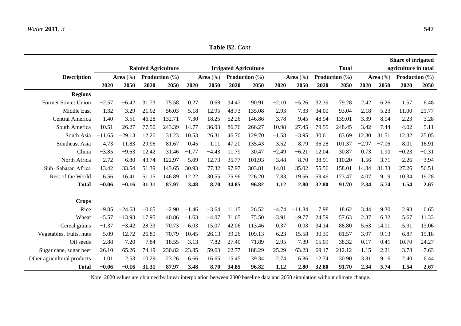|                             |                               |          |                            |             |                          |         |                              |        |         |                |       |              |                          |         | <b>Share of irrigated</b> |         |
|-----------------------------|-------------------------------|----------|----------------------------|-------------|--------------------------|---------|------------------------------|--------|---------|----------------|-------|--------------|--------------------------|---------|---------------------------|---------|
|                             |                               |          | <b>Rainfed Agriculture</b> |             |                          |         | <b>Irrigated Agriculture</b> |        |         |                |       | <b>Total</b> |                          |         | agriculture in total      |         |
| <b>Description</b>          | Production (%)<br>Area $(\%)$ |          |                            | Area $(\%)$ | <b>Production</b> $(\%)$ |         | Area $(\%)$                  |        |         | Production (%) |       | Area $(\%)$  | <b>Production</b> $(\%)$ |         |                           |         |
|                             | 2020                          | 2050     | 2020                       | 2050        | 2020                     | 2050    | 2020                         | 2050   | 2020    | 2050           | 2020  | 2050         | 2020                     | 2050    | 2020                      | 2050    |
| <b>Regions</b>              |                               |          |                            |             |                          |         |                              |        |         |                |       |              |                          |         |                           |         |
| Former Soviet Union         | $-2.57$                       | $-6.42$  | 31.73                      | 75.58       | 0.27                     | 0.68    | 34.47                        | 90.91  | $-2.10$ | $-5.26$        | 32.39 | 79.28        | 2.42                     | 6.26    | 1.57                      | 6.48    |
| <b>Middle East</b>          | 1.32                          | 3.29     | 21.02                      | 56.03       | 5.18                     | 12.95   | 48.73                        | 135.08 | 2.93    | 7.33           | 34.00 | 93.04        | 2.18                     | 5.23    | 11.00                     | 21.77   |
| Central America             | 1.40                          | 3.51     | 46.28                      | 132.71      | 7.30                     | 18.25   | 52.26                        | 146.86 | 3.78    | 9.45           | 48.94 | 139.01       | 3.39                     | 8.04    | 2.23                      | 3.28    |
| South America               | 10.51                         | 26.27    | 77.50                      | 243.39      | 14.77                    | 36.93   | 86.76                        | 266.27 | 10.98   | 27.45          | 79.55 | 248.45       | 3.42                     | 7.44    | 4.02                      | 5.11    |
| South Asia                  | $-11.65$                      | $-29.13$ | 12.26                      | 31.23       | 10.53                    | 26.31   | 46.70                        | 129.70 | $-1.58$ | $-3.95$        | 30.61 | 83.69        | 12.30                    | 31.51   | 12.32                     | 25.05   |
| Southeast Asia              | 4.73                          | 11.83    | 29.96                      | 81.67       | 0.45                     | 1.11    | 47.20                        | 135.43 | 3.52    | 8.79           | 36.28 | 101.37       | $-2.97$                  | $-7.06$ | 8.01                      | 16.91   |
| China                       | $-3.85$                       | $-9.63$  | 12.42                      | 31.46       | $-1.77$                  | $-4.43$ | 11.79                        | 30.47  | $-2.49$ | $-6.21$        | 12.04 | 30.87        | 0.73                     | 1.90    | $-0.23$                   | $-0.31$ |
| North Africa                | 2.72                          | 6.80     | 43.74                      | 122.97      | 5.09                     | 12.73   | 35.77                        | 101.93 | 3.48    | 8.70           | 38.91 | 110.20       | 1.56                     | 3.71    | $-2.26$                   | $-3.94$ |
| Sub-Saharan Africa          | 13.42                         | 33.54    | 51.39                      | 143.65      | 30.93                    | 77.32   | 97.97                        | 303.81 | 14.01   | 35.02          | 55.56 | 158.01       | 14.84                    | 31.33   | 27.26                     | 56.51   |
| Rest of the World           | 6.56                          | 16.41    | 51.15                      | 146.89      | 12.22                    | 30.55   | 75.96                        | 226.20 | 7.83    | 19.56          | 59.46 | 173.47       | 4.07                     | 9.19    | 10.34                     | 19.28   |
| <b>Total</b>                | $-0.06$                       | $-0.16$  | 31.31                      | 87.97       | 3.48                     | 8.70    | 34.85                        | 96.82  | 1.12    | 2.80           | 32.80 | 91.70        | 2.34                     | 5.74    | 1.54                      | 2.67    |
| <b>Crops</b>                |                               |          |                            |             |                          |         |                              |        |         |                |       |              |                          |         |                           |         |
| Rice                        | $-9.85$                       | $-24.63$ | $-0.65$                    | $-2.90$     | $-1.46$                  | $-3.64$ | 11.15                        | 26.52  | $-4.74$ | $-11.84$       | 7.98  | 18.62        | 3.44                     | 9.30    | 2.93                      | 6.65    |
| Wheat                       | $-5.57$                       | $-13.93$ | 17.95                      | 40.86       | $-1.63$                  | $-4.07$ | 31.65                        | 75.50  | $-3.91$ | $-9.77$        | 24.59 | 57.63        | 2.37                     | 6.32    | 5.67                      | 11.33   |
| Cereal grains               | $-1.37$                       | $-3.42$  | 28.33                      | 70.73       | 6.03                     | 15.07   | 42.06                        | 113.46 | 0.37    | 0.93           | 34.14 | 88.80        | 5.63                     | 14.01   | 5.91                      | 13.06   |
| Vegetables, fruits, nuts    | 5.09                          | 12.72    | 26.80                      | 70.79       | 10.45                    | 26.13   | 39.26                        | 109.13 | 6.23    | 15.58          | 30.30 | 81.57        | 3.97                     | 9.13    | 6.87                      | 15.18   |
| Oil seeds                   | 2.88                          | 7.20     | 7.84                       | 18.55       | 3.13                     | 7.82    | 27.40                        | 71.89  | 2.95    | 7.39           | 15.09 | 38.32        | 0.17                     | 0.41    | 10.70                     | 24.27   |
| Sugar cane, sugar beet      | 26.10                         | 65.26    | 74.19                      | 230.82      | 23.85                    | 59.63   | 62.77                        | 188.29 | 25.29   | 63.23          | 69.17 | 212.12       | $-1.15$                  | $-2.21$ | $-3.78$                   | $-7.63$ |
| Other agricultural products | 1.01                          | 2.53     | 10.29                      | 23.26       | 6.66                     | 16.65   | 15.45                        | 39.34  | 2.74    | 6.86           | 12.74 | 30.90        | 3.81                     | 9.16    | 2.40                      | 6.44    |
| <b>Total</b>                | $-0.06$                       | $-0.16$  | 31.31                      | 87.97       | 3.48                     | 8.70    | 34.85                        | 96.82  | 1.12    | 2.80           | 32.80 | 91.70        | 2.34                     | 5.74    | 1.54                      | 2.67    |

Note: 2020 values are obtained by linear interpolation between 2000 baseline data and 2050 simulation without climate change.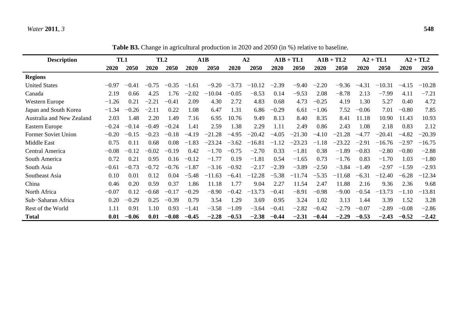# *Water* **2011**, *3* **548**

**Table B3.** Change in agricultural production in 2020 and 2050 (in %) relative to baseline.

| <b>Description</b>         | TL1     |         | TL <sub>2</sub> |         | A1B     |          | A2      |          |         | $A1B + TLI$ |         | $A1B + TL2$ |         | $A2 + TLI$ |         | $A2 + TL2$ |
|----------------------------|---------|---------|-----------------|---------|---------|----------|---------|----------|---------|-------------|---------|-------------|---------|------------|---------|------------|
|                            | 2020    | 2050    | 2020            | 2050    | 2020    | 2050     | 2020    | 2050     | 2020    | 2050        | 2020    | 2050        | 2020    | 2050       | 2020    | 2050       |
| <b>Regions</b>             |         |         |                 |         |         |          |         |          |         |             |         |             |         |            |         |            |
| <b>United States</b>       | $-0.97$ | $-0.41$ | $-0.75$         | $-0.35$ | $-1.61$ | $-9.20$  | $-3.73$ | $-10.12$ | $-2.39$ | $-9.40$     | $-2.20$ | $-9.36$     | $-4.31$ | $-10.31$   | $-4.15$ | $-10.28$   |
| Canada                     | 2.19    | 0.66    | 4.25            | 1.76    | $-2.02$ | $-10.04$ | $-0.05$ | $-8.53$  | 0.14    | $-9.53$     | 2.08    | $-8.78$     | 2.13    | $-7.99$    | 4.11    | $-7.21$    |
| <b>Western Europe</b>      | $-1.26$ | 0.21    | $-2.21$         | $-0.41$ | 2.09    | 4.30     | 2.72    | 4.83     | 0.68    | 4.73        | $-0.25$ | 4.19        | 1.30    | 5.27       | 0.40    | 4.72       |
| Japan and South Korea      | $-1.34$ | $-0.26$ | $-2.11$         | 0.22    | 1.08    | 6.47     | 1.31    | 6.86     | $-0.29$ | 6.61        | $-1.06$ | 7.52        | $-0.06$ | 7.01       | $-0.80$ | 7.85       |
| Australia and New Zealand  | 2.03    | 1.48    | 2.20            | 1.49    | 7.16    | 6.95     | 10.76   | 9.49     | 8.13    | 8.40        | 8.35    | 8.41        | 11.18   | 10.90      | 11.43   | 10.93      |
| Eastern Europe             | $-0.24$ | $-0.14$ | $-0.49$         | $-0.24$ | 1.41    | 2.59     | 1.38    | 2.29     | 1.11    | 2.49        | 0.86    | 2.43        | 1.08    | 2.18       | 0.83    | 2.12       |
| <b>Former Soviet Union</b> | $-0.20$ | $-0.15$ | $-0.23$         | $-0.18$ | $-4.19$ | $-21.28$ | $-4.95$ | $-20.42$ | $-4.05$ | $-21.30$    | $-4.10$ | $-21.28$    | $-4.77$ | $-20.41$   | $-4.82$ | $-20.39$   |
| Middle East                | 0.75    | 0.11    | 0.68            | 0.08    | $-1.83$ | $-23.24$ | $-3.62$ | $-16.81$ | $-1.12$ | $-23.23$    | $-1.18$ | $-23.22$    | $-2.91$ | $-16.76$   | $-2.97$ | $-16.75$   |
| Central America            | $-0.08$ | $-0.12$ | $-0.02$         | $-0.19$ | 0.42    | $-1.70$  | $-0.75$ | $-2.70$  | 0.33    | $-1.81$     | 0.38    | $-1.89$     | $-0.83$ | $-2.80$    | $-0.80$ | $-2.88$    |
| South America              | 0.72    | 0.21    | 0.95            | 0.16    | $-0.12$ | $-1.77$  | 0.19    | $-1.81$  | 0.54    | $-1.65$     | 0.73    | $-1.76$     | 0.83    | $-1.70$    | 1.03    | $-1.80$    |
| South Asia                 | $-0.61$ | $-0.73$ | $-0.72$         | $-0.76$ | $-1.87$ | $-3.16$  | $-0.92$ | $-2.17$  | $-2.39$ | $-3.89$     | $-2.50$ | $-3.84$     | $-1.49$ | $-2.97$    | $-1.59$ | $-2.93$    |
| Southeast Asia             | 0.10    | 0.01    | 0.12            | 0.04    | $-5.48$ | $-11.63$ | $-6.41$ | $-12.28$ | $-5.38$ | $-11.74$    | $-5.35$ | $-11.68$    | $-6.31$ | $-12.40$   | $-6.28$ | $-12.34$   |
| China                      | 0.46    | 0.20    | 0.59            | 0.37    | 1.86    | 11.18    | 1.77    | 9.04     | 2.27    | 11.54       | 2.47    | 11.88       | 2.16    | 9.36       | 2.36    | 9.68       |
| North Africa               | $-0.07$ | 0.12    | $-0.68$         | $-0.17$ | $-0.29$ | $-8.90$  | $-0.42$ | $-13.73$ | $-0.41$ | $-8.91$     | $-0.98$ | $-9.00$     | $-0.54$ | $-13.73$   | $-1.10$ | $-13.81$   |
| Sub-Saharan Africa         | 0.20    | $-0.29$ | 0.25            | $-0.39$ | 0.79    | 3.54     | 1.29    | 3.69     | 0.95    | 3.24        | 1.02    | 3.13        | 1.44    | 3.39       | 1.52    | 3.28       |
| Rest of the World          | 1.11    | 0.91    | 1.10            | 0.93    | $-1.41$ | $-3.58$  | $-1.09$ | $-3.64$  | $-0.41$ | $-2.82$     | $-0.42$ | $-2.79$     | $-0.07$ | $-2.89$    | $-0.08$ | $-2.86$    |
| <b>Total</b>               | 0.01    | $-0.06$ | 0.01            | $-0.08$ | $-0.45$ | $-2.28$  | $-0.53$ | $-2.38$  | $-0.44$ | $-2.31$     | $-0.44$ | $-2.29$     | $-0.53$ | $-2.43$    | $-0.52$ | $-2.42$    |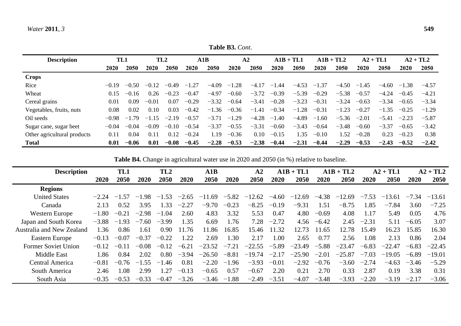**Table B3.** *Cont*.

| <b>Description</b>          | TL1     |         | TL <sub>2</sub> |         | A1B     |         | A2      |         | $A1B + TLI$ |         | $A1B + TL2$ |         | $A2 + TLI$ |         | $A2 + TL2$  |         |
|-----------------------------|---------|---------|-----------------|---------|---------|---------|---------|---------|-------------|---------|-------------|---------|------------|---------|-------------|---------|
|                             | 2020    | 2050    | <b>2020</b>     | 2050    | 2020    | 2050    | 2020    | 2050    | 2020        | 2050    | 2020        | 2050    | 2020       | 2050    | <b>2020</b> | 2050    |
| <b>Crops</b>                |         |         |                 |         |         |         |         |         |             |         |             |         |            |         |             |         |
| Rice                        | $-0.19$ | $-0.50$ | $-0.12$         | $-0.49$ | $-1.27$ | $-4.09$ | $-1.28$ | $-4.17$ | .44<br>$-1$ | $-4.53$ | $-1.37$     | $-4.50$ | $-1.45$    | $-4.60$ | $-1.38$     | $-4.57$ |
| Wheat                       | 0.15    | $-0.16$ | 0.26            | $-0.23$ | $-0.47$ | $-4.97$ | $-0.60$ | $-3.72$ | $-0.39$     | $-5.39$ | $-0.29$     | $-5.38$ | $-0.57$    | $-4.24$ | $-0.45$     | $-4.21$ |
| Cereal grains               | 0.01    | 0.09    | $-0.01$         | 0.07    | $-0.29$ | $-3.32$ | $-0.64$ | $-3.41$ | $-0.28$     | $-3.23$ | $-0.31$     | $-3.24$ | $-0.63$    | $-3.34$ | $-0.65$     | $-3.34$ |
| Vegetables, fruits, nuts    | 0.08    | 0.02    | 0.10            | 0.03    | $-0.42$ | $-1.36$ | $-0.36$ | $-1.41$ | $-0.34$     | $-1.28$ | $-0.31$     | $-1.23$ | $-0.27$    | $-1.35$ | $-0.25$     | $-1.29$ |
| Oil seeds                   | $-0.98$ | $-1.79$ | $-1.15$         | $-2.19$ | $-0.57$ | $-3.71$ | $-1.29$ | $-4.28$ | $-1.40$     | $-4.89$ | $-1.60$     | $-5.36$ | $-2.01$    | $-5.41$ | $-2.23$     | $-5.87$ |
| Sugar cane, sugar beet      | $-0.04$ | $-0.04$ | $-0.09$         | $-0.10$ | $-0.54$ | $-3.37$ | $-0.55$ | $-3.31$ | $-0.60$     | $-3.43$ | $-0.64$     | $-3.48$ | $-0.60$    | $-3.37$ | $-0.65$     | $-3.42$ |
| Other agricultural products | 0.11    | 0.04    | 0.11            | 0.12    | $-0.24$ | .19     | $-0.36$ | 0.10    | $-0.15$     | 1.35    | $-0.10$     | .52     | $-0.28$    | 0.23    | $-0.23$     | 0.38    |
| <b>Total</b>                | 0.01    | $-0.06$ | 0.01            | $-0.08$ | $-0.45$ | $-2.28$ | $-0.53$ | $-2.38$ | $-0.44$     | $-2.31$ | $-0.44$     | $-2.29$ | $-0.53$    | $-2.43$ | $-0.52$     | $-2.42$ |

**Table B4.** Change in agricultural water use in 2020 and 2050 (in %) relative to baseline.

| <b>Description</b>         |         | TL1         |             | TL <sub>2</sub> | ${\bf A1B}$ |          |                          | $A1B + TL1$<br>${\bf A2}$ |         |          | $A1B + TL2$ | $A2 + TLI$    |         | $A2 + TL2$ |         |          |
|----------------------------|---------|-------------|-------------|-----------------|-------------|----------|--------------------------|---------------------------|---------|----------|-------------|---------------|---------|------------|---------|----------|
|                            | 2020    | 2050        | 2020        | 2050            | 2020        | 2050     | 2020                     | 2050                      | 2020    | 2050     | 2020        | 2050          | 2020    | 2050       | 2020    | 2050     |
| <b>Regions</b>             |         |             |             |                 |             |          |                          |                           |         |          |             |               |         |            |         |          |
| <b>United States</b>       | $-2.24$ | .57<br>$-1$ | -98<br>$-1$ | $-1.53$         | $-2.65$     | $-11.69$ | $-5.82$                  | $-12.62$                  | $-4.60$ | $-12.69$ | $-4.38$     | $-12$<br>-69. | $-7.53$ | $-13.61$   | $-7.34$ | $-13.61$ |
| Canada                     | 2.13    | 0.52        | 3.95        | .33             | $-2.27$     | $-9.70$  | $-0.23$                  | $-8.25$                   | $-0.19$ | $-9.31$  | .51         | $-8.75$       | .85     | $-7.84$    | 3.60    | $-7.25$  |
| Western Europe             | $-1.80$ | $-0.21$     | $-2.98$     | $-1.04$         | 2.60        | 4.83     | 3.32                     | 5.53                      | 0.47    | 4.80     | $-0.69$     | 4.08          | 1.17    | 5.49       | 0.05    | 4.76     |
| Japan and South Korea      | $-3.88$ | -93<br>$-1$ | $-7.60$     | $-3.99$         | 1.35        | 6.69     | .76                      | 7.28                      | $-2.72$ | 4.56     | $-6.42$     | 2.45          | $-2.31$ | 5.11       | $-6.05$ | 3.07     |
| Australia and New Zealand  | 1.36    | 0.86        | 1.61        | 0.90            | 1.76        | 11.86    | 16.85                    | 15.46                     | 11.32   | 12.73    | .65<br>11   | 12.78         | 15.49   | 16.23      | 15.85   | 16.30    |
| Eastern Europe             | $-0.13$ | $-0.07$     | $-0.37$     | $-0.22$         | 1.22        | 2.69     | .30                      | 2.17                      | .00     | 2.65     | 0.77        | 2.56          | .08     | 2.13       | 0.86    | 2.04     |
| <b>Former Soviet Union</b> | $-0.12$ | $-0.11$     | $-0.08$     | $-0.12$         | $-6.21$     | $-23.52$ | $-7.21$                  | $-22.55$                  | $-5.89$ | $-23.49$ | $-5.88$     | $-23.47$      | $-6.83$ | $-22.47$   | $-6.83$ | $-22.45$ |
| <b>Middle East</b>         | 1.86    | 0.84        | 2.02        | 0.80            | $-3.94$     | $-26.50$ | $-8.81$                  | $-19.74$                  | $-2.17$ | $-25.90$ | $-2.01$     | $-25.87$      | $-7.03$ | $-19.05$   | $-6.89$ | $-19.01$ |
| Central America            | $-0.81$ | $-0.76$     | .55<br>$-1$ | -46<br>$-1$     | 0.81        | $-2.20$  | .96<br>$\qquad \qquad -$ | $-3.93$                   | $-0.01$ | $-2.92$  | $-0.76$     | $-3.60$       | $-2.74$ | $-4.63$    | $-3.46$ | $-5.29$  |
| South America              | 2.46    | .08         | 2.99        | 1.27            | $-0.13$     | $-0.65$  | 0.57                     | $-0.67$                   | 2.20    | 0.21     | 2.70        | 0.33          | 2.87    | 0.19       | 3.38    | 0.31     |
| South Asia                 | $-0.35$ | $-0.53$     | $-0.33$     | $-0.47$         | $-3.26$     | $-3.46$  | .88<br>$-1$              | $-2.49$                   | $-3.51$ | $-4.07$  | $-3.48$     | $-3.93$       | $-2.20$ | $-3.19$    | $-2.17$ | $-3.06$  |